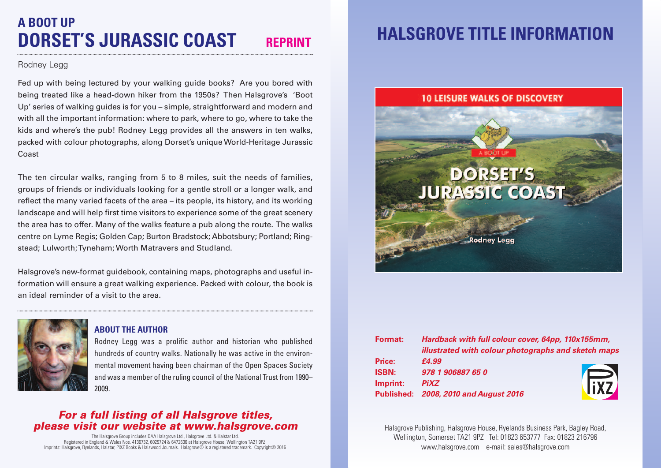## **A BOOT UP DORSET'S JURASSIC COAST REPRINT**

#### Rodney Legg

Fed up with being lectured by your walking guide books? Are you bored with being treated like a head-down hiker from the 1950s? Then Halsgrove's 'Boot Up' series of walking guides is for you – simple, straightforward and modern and with all the important information: where to park, where to go, where to take the kids and where's the pub! Rodney Legg provides all the answers in ten walks, packed with colour photographs, along Dorset's unique World-Heritage Jurassic Coast

The ten circular walks, ranging from 5 to 8 miles, suit the needs of families, groups of friends or individuals looking for a gentle stroll or a longer walk, and reflect the many varied facets of the area – its people, its history, and its working landscape and will help first time visitors to experience some of the great scenery the area has to offer. Many of the walks feature a pub along the route. The walks centre on Lyme Regis; Golden Cap; Burton Bradstock; Abbotsbury; Portland; Ringstead; Lulworth;Tyneham; Worth Matravers and Studland.

Halsgrove's new-format guidebook, containing maps, photographs and useful information will ensure a great walking experience. Packed with colour, the book is an ideal reminder of a visit to the area.



### **ABOUT THE AUTHOR**

Rodney Legg was a prolific author and historian who published hundreds of country walks. Nationally he was active in the environmental movement having been chairman of the Open Spaces Society and was a member of the ruling council of the National Trust from 1990– 2009.

## *For a full listing of all Halsgrove titles, please visit our website at www.halsgrove.com*

The Halsgrove Group includes DAA Halsgrove Ltd., Halsgrove Ltd. & Halstar Ltd. Registered in England & Wales Nos. 4136732, 6029724 & 6472636 at Halsgrove House, Wellington TA21 9PZ. Imprints: Halsgrove, Ryelands, Halstar, PiXZ Books & Halswood Journals. Halsgrove® is a registered trademark. Copyright© 2016

## **HALSGROVE TITLE INFORMATION**

## **10 LEISURE WALKS OF DISCOVERY**

# **DORSET'S JURASSIC COAST**

Rodney Legg

**Format:** *Hardback with full colour cover, 64pp, 110x155mm, illustrated with colour photographs and sketch maps* **Price:** *£4.99* **ISBN:** *978 1 906887 65 0* **Imprint:** *PiXZ* **Published:** *2008, 2010 and August 2016*



Halsgrove Publishing, Halsgrove House, Ryelands Business Park, Bagley Road, Wellington, Somerset TA21 9PZ Tel: 01823 653777 Fax: 01823 216796 www.halsgrove.com e-mail: sales@halsgrove.com